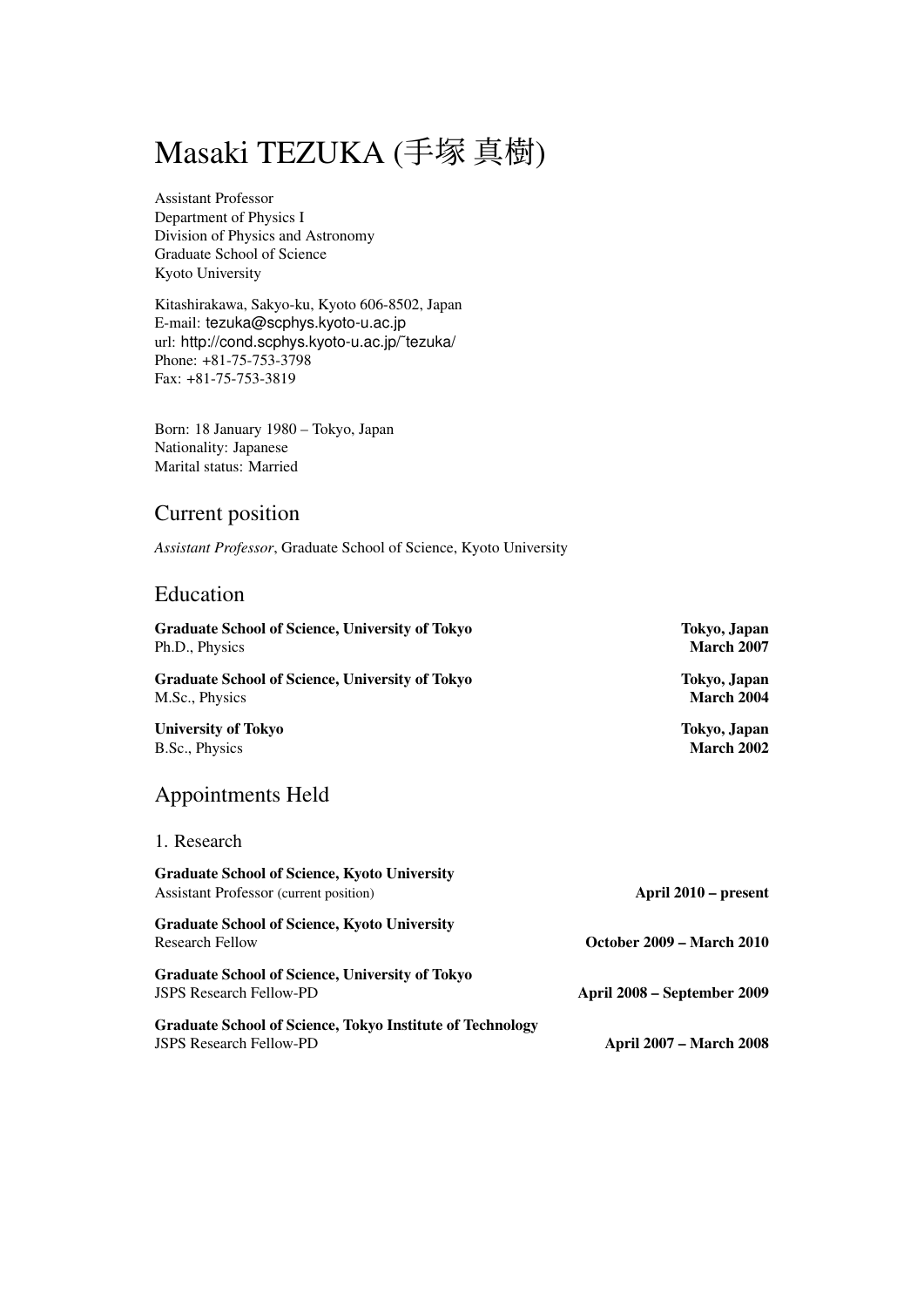# Masaki TEZUKA (手塚 真樹)

Assistant Professor Department of Physics I Division of Physics and Astronomy Graduate School of Science Kyoto University

Kitashirakawa, Sakyo-ku, Kyoto 606-8502, Japan E-mail: tezuka@scphys.kyoto-u.ac.jp url: http://cond.scphys.kyoto-u.ac.jp/˜tezuka/ Phone: +81-75-753-3798 Fax: +81-75-753-3819

Born: 18 January 1980 – Tokyo, Japan Nationality: Japanese Marital status: Married

# Current position

*Assistant Professor*, Graduate School of Science, Kyoto University

# Education

| <b>Graduate School of Science, University of Tokyo</b> | Tokyo, Japan      |
|--------------------------------------------------------|-------------------|
| Ph.D., Physics                                         | <b>March 2007</b> |
| <b>Graduate School of Science, University of Tokyo</b> | Tokyo, Japan      |
| M.Sc., Physics                                         | March 2004        |
| <b>University of Tokyo</b>                             | Tokyo, Japan      |
| B.Sc., Physics                                         | <b>March 2002</b> |

# Appointments Held

## 1. Research

| <b>Graduate School of Science, Kyoto University</b><br><b>Assistant Professor</b> (current position) | April 2010 – present             |
|------------------------------------------------------------------------------------------------------|----------------------------------|
| <b>Graduate School of Science, Kyoto University</b>                                                  |                                  |
| <b>Research Fellow</b>                                                                               | <b>October 2009 – March 2010</b> |
| <b>Graduate School of Science, University of Tokyo</b>                                               |                                  |
| <b>JSPS Research Fellow-PD</b>                                                                       | April 2008 – September 2009      |
| <b>Graduate School of Science, Tokyo Institute of Technology</b>                                     |                                  |
| <b>JSPS Research Fellow-PD</b>                                                                       | <b>April 2007 – March 2008</b>   |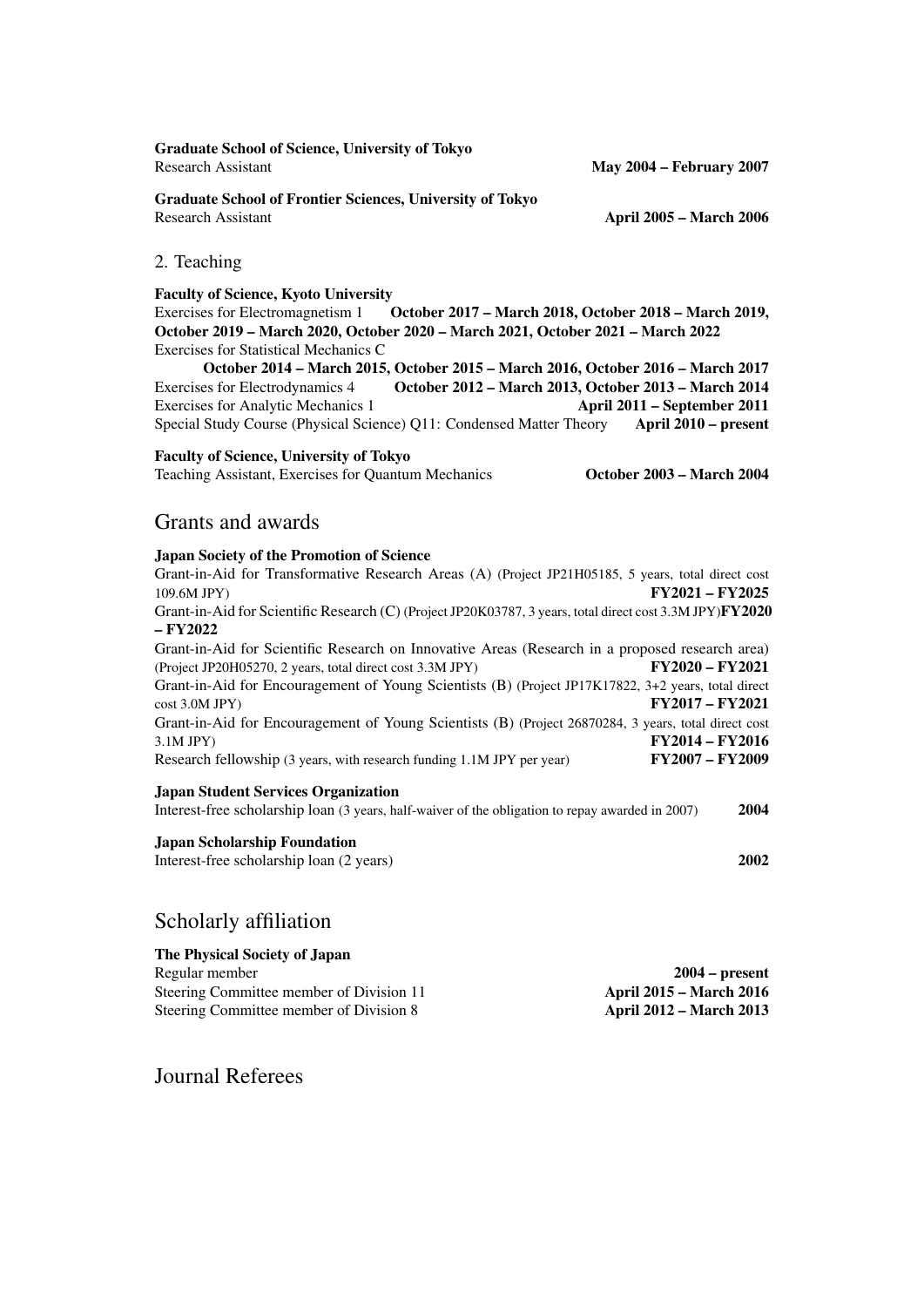Graduate School of Science, University of Tokyo Research Assistant May 2004 – February 2007

Graduate School of Frontier Sciences, University of Tokyo Research Assistant **April 2005 – March 2006** 

#### 2. Teaching

#### Faculty of Science, Kyoto University

Exercises for Electromagnetism 1 October 2017 – March 2018, October 2018 – March 2019, October 2019 – March 2020, October 2020 – March 2021, October 2021 – March 2022 Exercises for Statistical Mechanics C

October 2014 – March 2015, October 2015 – March 2016, October 2016 – March 2017 Exercises for Electrodynamics 4 October 2012 – March 2013, October 2013 – March 2014 Exercises for Analytic Mechanics 1 April 2011 – September 2011 Special Study Course (Physical Science) Q11: Condensed Matter Theory April 2010 - present

#### Faculty of Science, University of Tokyo

Teaching Assistant, Exercises for Quantum Mechanics October 2003 – March 2004

## Grants and awards

#### Japan Society of the Promotion of Science

Grant-in-Aid for Transformative Research Areas (A) (Project JP21H05185, 5 years, total direct cost 109.6M JPY) FY2021 – FY2025 Grant-in-Aid for Scientific Research (C) (Project JP20K03787, 3 years, total direct cost 3.3M JPY)FY2020 – FY2022 Grant-in-Aid for Scientific Research on Innovative Areas (Research in a proposed research area) (Project JP20H05270, 2 years, total direct cost 3.3M JPY) FY2020 – FY2021 Grant-in-Aid for Encouragement of Young Scientists (B) (Project JP17K17822, 3+2 years, total direct  $\text{cvst } 3.0 \text{M JPY}$   $\text{FY } 2017 - \text{FY } 2021$ Grant-in-Aid for Encouragement of Young Scientists (B) (Project 26870284, 3 years, total direct cost 3.1M JPY) FY2014 – FY2016 Research fellowship (3 years, with research funding 1.1M JPY per year) FY2007 – FY2009 Japan Student Services Organization

Interest-free scholarship loan (3 years, half-waiver of the obligation to repay awarded in 2007) 2004

#### Japan Scholarship Foundation

Interest-free scholarship loan (2 years) 2002

### Scholarly affiliation

| The Physical Society of Japan            |                                |
|------------------------------------------|--------------------------------|
| Regular member                           | $2004 - present$               |
| Steering Committee member of Division 11 | <b>April 2015 – March 2016</b> |
| Steering Committee member of Division 8  | <b>April 2012 – March 2013</b> |

Journal Referees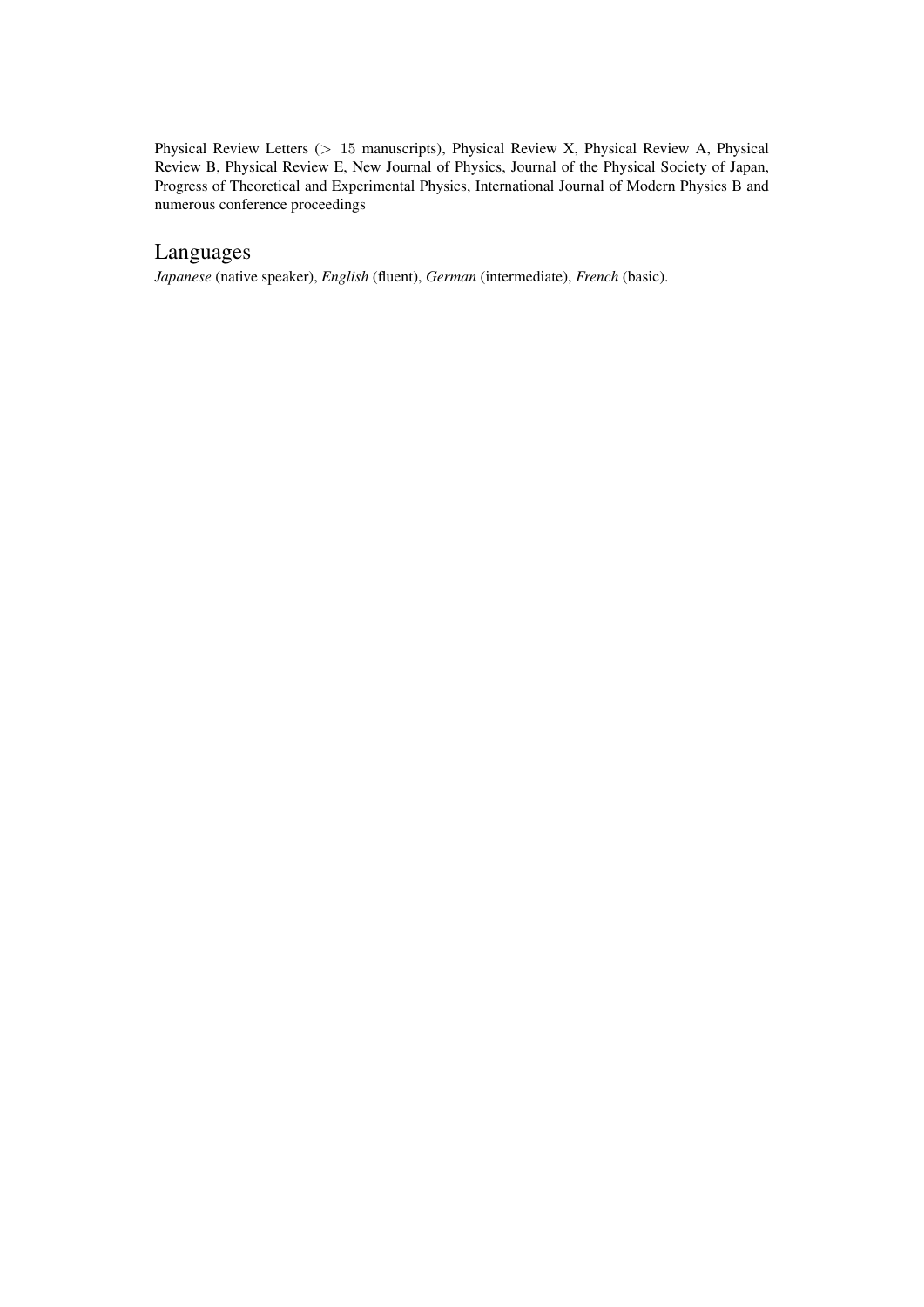Physical Review Letters (*>* 15 manuscripts), Physical Review X, Physical Review A, Physical Review B, Physical Review E, New Journal of Physics, Journal of the Physical Society of Japan, Progress of Theoretical and Experimental Physics, International Journal of Modern Physics B and numerous conference proceedings

# Languages

*Japanese* (native speaker), *English* (fluent), *German* (intermediate), *French* (basic).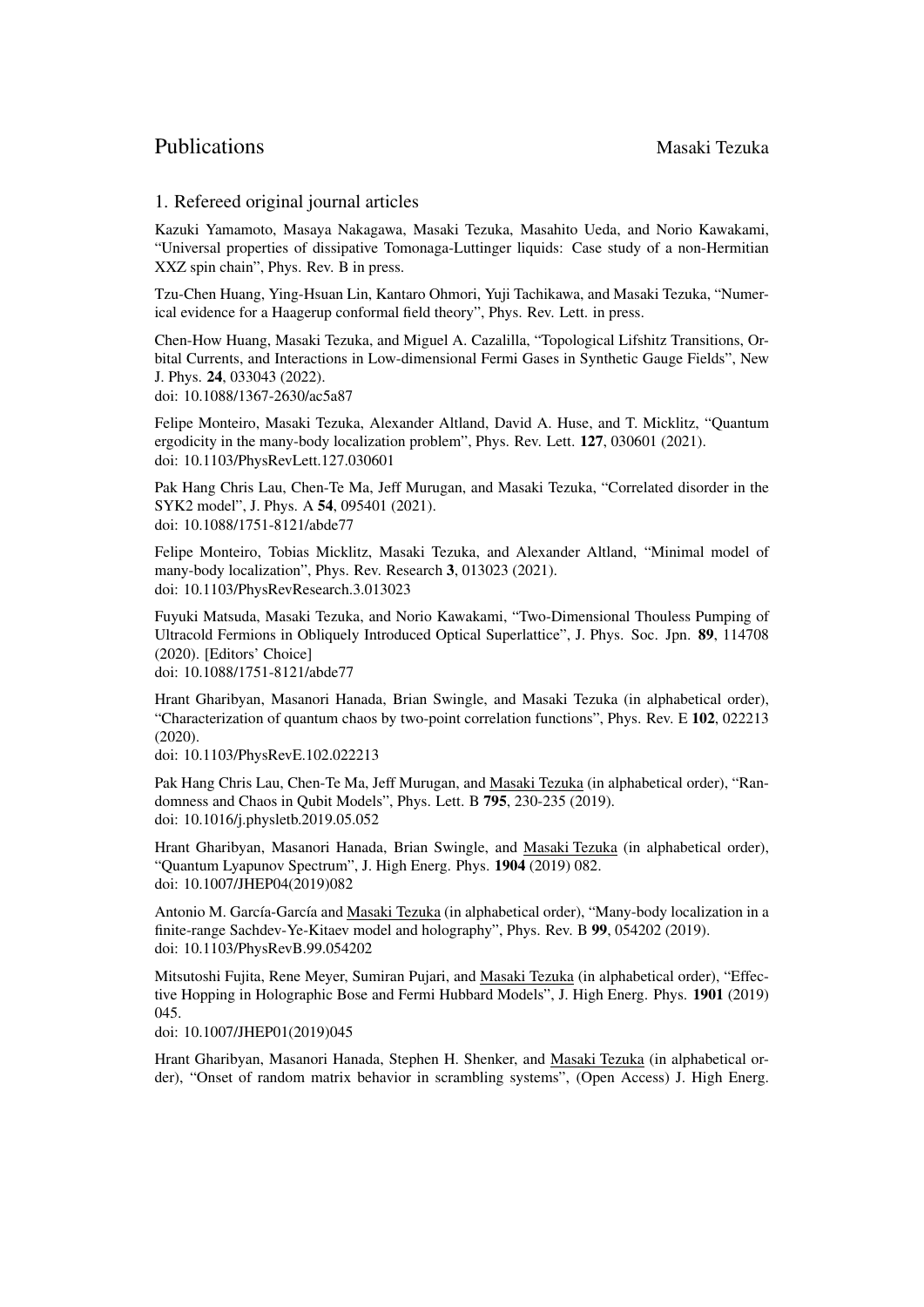# Publications Masaki Tezuka

### 1. Refereed original journal articles

Kazuki Yamamoto, Masaya Nakagawa, Masaki Tezuka, Masahito Ueda, and Norio Kawakami, "Universal properties of dissipative Tomonaga-Luttinger liquids: Case study of a non-Hermitian XXZ spin chain", Phys. Rev. B in press.

Tzu-Chen Huang, Ying-Hsuan Lin, Kantaro Ohmori, Yuji Tachikawa, and Masaki Tezuka, "Numerical evidence for a Haagerup conformal field theory", Phys. Rev. Lett. in press.

Chen-How Huang, Masaki Tezuka, and Miguel A. Cazalilla, "Topological Lifshitz Transitions, Orbital Currents, and Interactions in Low-dimensional Fermi Gases in Synthetic Gauge Fields", New J. Phys. 24, 033043 (2022). doi: 10.1088/1367-2630/ac5a87

Felipe Monteiro, Masaki Tezuka, Alexander Altland, David A. Huse, and T. Micklitz, "Quantum ergodicity in the many-body localization problem", Phys. Rev. Lett. 127, 030601 (2021). doi: 10.1103/PhysRevLett.127.030601

Pak Hang Chris Lau, Chen-Te Ma, Jeff Murugan, and Masaki Tezuka, "Correlated disorder in the SYK2 model", J. Phys. A 54, 095401 (2021). doi: 10.1088/1751-8121/abde77

Felipe Monteiro, Tobias Micklitz, Masaki Tezuka, and Alexander Altland, "Minimal model of many-body localization", Phys. Rev. Research 3, 013023 (2021). doi: 10.1103/PhysRevResearch.3.013023

Fuyuki Matsuda, Masaki Tezuka, and Norio Kawakami, "Two-Dimensional Thouless Pumping of Ultracold Fermions in Obliquely Introduced Optical Superlattice", J. Phys. Soc. Jpn. 89, 114708 (2020). [Editors' Choice] doi: 10.1088/1751-8121/abde77

Hrant Gharibyan, Masanori Hanada, Brian Swingle, and Masaki Tezuka (in alphabetical order),

"Characterization of quantum chaos by two-point correlation functions", Phys. Rev. E 102, 022213 (2020).

doi: 10.1103/PhysRevE.102.022213

Pak Hang Chris Lau, Chen-Te Ma, Jeff Murugan, and Masaki Tezuka (in alphabetical order), "Randomness and Chaos in Qubit Models", Phys. Lett. B 795, 230-235 (2019). doi: 10.1016/j.physletb.2019.05.052

Hrant Gharibyan, Masanori Hanada, Brian Swingle, and Masaki Tezuka (in alphabetical order), "Quantum Lyapunov Spectrum", J. High Energ. Phys. 1904 (2019) 082. doi: 10.1007/JHEP04(2019)082

Antonio M. García-García and Masaki Tezuka (in alphabetical order), "Many-body localization in a finite-range Sachdev-Ye-Kitaev model and holography", Phys. Rev. B 99, 054202 (2019). doi: 10.1103/PhysRevB.99.054202

Mitsutoshi Fujita, Rene Meyer, Sumiran Pujari, and Masaki Tezuka (in alphabetical order), "Effective Hopping in Holographic Bose and Fermi Hubbard Models", J. High Energ. Phys. 1901 (2019) 045.

doi: 10.1007/JHEP01(2019)045

Hrant Gharibyan, Masanori Hanada, Stephen H. Shenker, and Masaki Tezuka (in alphabetical order), "Onset of random matrix behavior in scrambling systems", (Open Access) J. High Energ.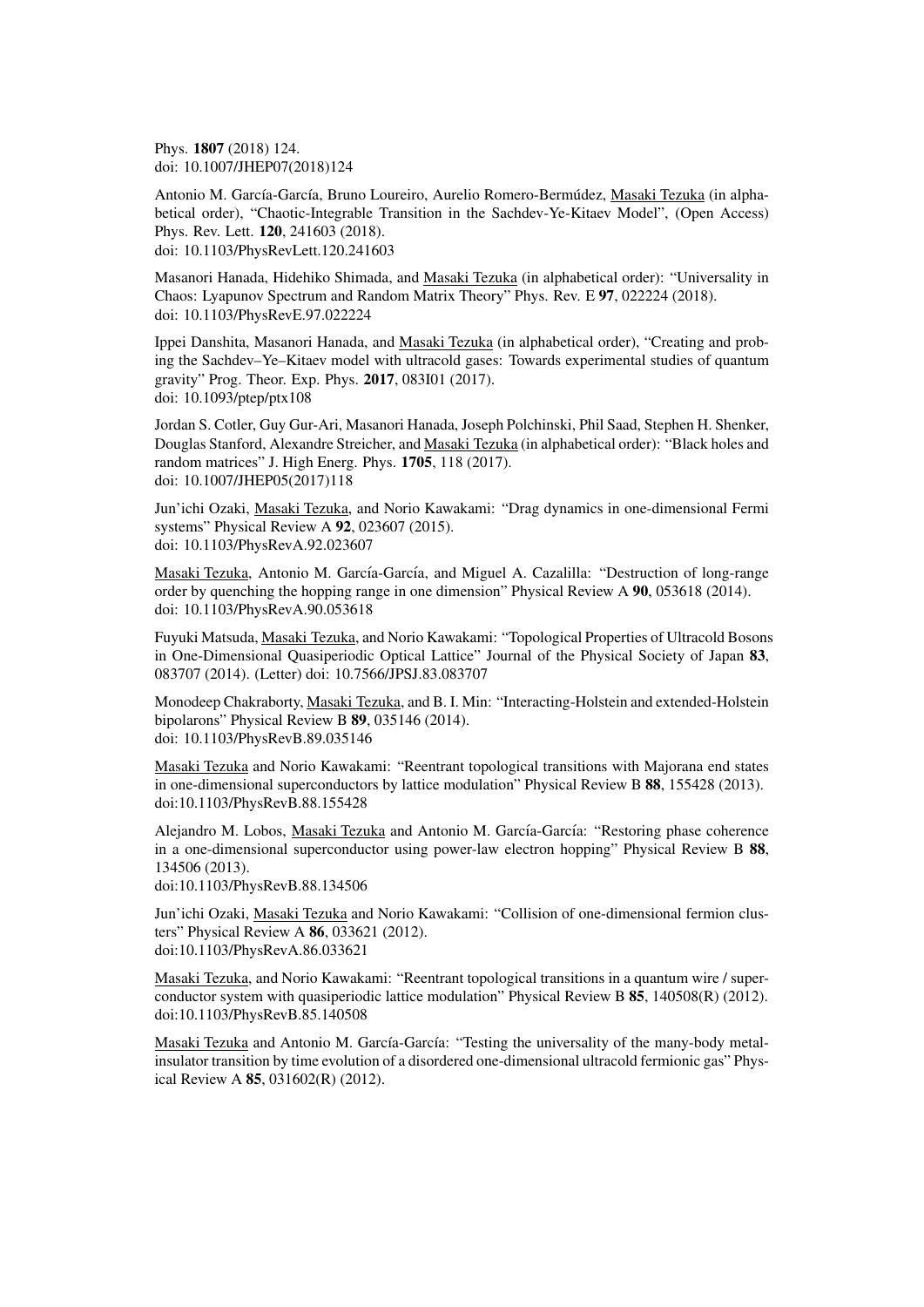Phys. 1807 (2018) 124. doi: 10.1007/JHEP07(2018)124

Antonio M. García-García, Bruno Loureiro, Aurelio Romero-Bermúdez, Masaki Tezuka (in alphabetical order), "Chaotic-Integrable Transition in the Sachdev-Ye-Kitaev Model", (Open Access) Phys. Rev. Lett. 120, 241603 (2018). doi: 10.1103/PhysRevLett.120.241603

Masanori Hanada, Hidehiko Shimada, and Masaki Tezuka (in alphabetical order): "Universality in Chaos: Lyapunov Spectrum and Random Matrix Theory" Phys. Rev. E 97, 022224 (2018). doi: 10.1103/PhysRevE.97.022224

Ippei Danshita, Masanori Hanada, and Masaki Tezuka (in alphabetical order), "Creating and probing the Sachdev–Ye–Kitaev model with ultracold gases: Towards experimental studies of quantum gravity" Prog. Theor. Exp. Phys. 2017, 083I01 (2017). doi: 10.1093/ptep/ptx108

Jordan S. Cotler, Guy Gur-Ari, Masanori Hanada, Joseph Polchinski, Phil Saad, Stephen H. Shenker, Douglas Stanford, Alexandre Streicher, and Masaki Tezuka (in alphabetical order): "Black holes and random matrices" J. High Energ. Phys. 1705, 118 (2017). doi: 10.1007/JHEP05(2017)118

Jun'ichi Ozaki, Masaki Tezuka, and Norio Kawakami: "Drag dynamics in one-dimensional Fermi systems" Physical Review A 92, 023607 (2015). doi: 10.1103/PhysRevA.92.023607

Masaki Tezuka, Antonio M. García-García, and Miguel A. Cazalilla: "Destruction of long-range order by quenching the hopping range in one dimension" Physical Review A 90, 053618 (2014). doi: 10.1103/PhysRevA.90.053618

Fuyuki Matsuda, Masaki Tezuka, and Norio Kawakami: "Topological Properties of Ultracold Bosons in One-Dimensional Quasiperiodic Optical Lattice" Journal of the Physical Society of Japan 83, 083707 (2014). (Letter) doi: 10.7566/JPSJ.83.083707

Monodeep Chakraborty, Masaki Tezuka, and B. I. Min: "Interacting-Holstein and extended-Holstein bipolarons" Physical Review B 89, 035146 (2014). doi: 10.1103/PhysRevB.89.035146

Masaki Tezuka and Norio Kawakami: "Reentrant topological transitions with Majorana end states in one-dimensional superconductors by lattice modulation" Physical Review B 88, 155428 (2013). doi:10.1103/PhysRevB.88.155428

Alejandro M. Lobos, Masaki Tezuka and Antonio M. García-García: "Restoring phase coherence in a one-dimensional superconductor using power-law electron hopping" Physical Review B 88, 134506 (2013).

doi:10.1103/PhysRevB.88.134506

Jun'ichi Ozaki, Masaki Tezuka and Norio Kawakami: "Collision of one-dimensional fermion clusters" Physical Review A 86, 033621 (2012). doi:10.1103/PhysRevA.86.033621

Masaki Tezuka, and Norio Kawakami: "Reentrant topological transitions in a quantum wire / superconductor system with quasiperiodic lattice modulation" Physical Review B 85, 140508(R) (2012). doi:10.1103/PhysRevB.85.140508

Masaki Tezuka and Antonio M. García-García: "Testing the universality of the many-body metalinsulator transition by time evolution of a disordered one-dimensional ultracold fermionic gas" Physical Review A 85, 031602(R) (2012).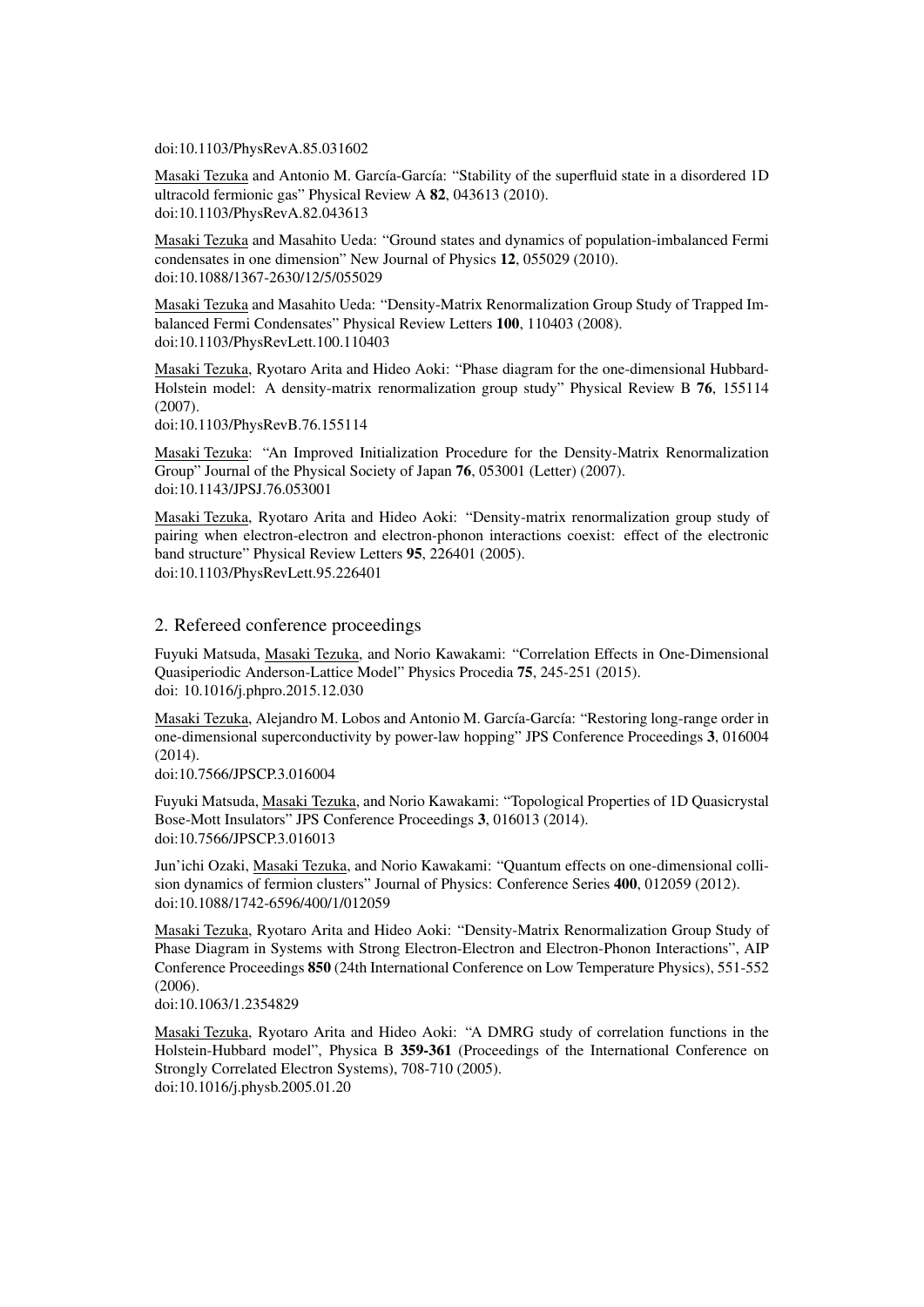doi:10.1103/PhysRevA.85.031602

Masaki Tezuka and Antonio M. García-García: "Stability of the superfluid state in a disordered 1D ultracold fermionic gas" Physical Review A 82, 043613 (2010). doi:10.1103/PhysRevA.82.043613

Masaki Tezuka and Masahito Ueda: "Ground states and dynamics of population-imbalanced Fermi condensates in one dimension" New Journal of Physics 12, 055029 (2010). doi:10.1088/1367-2630/12/5/055029

Masaki Tezuka and Masahito Ueda: "Density-Matrix Renormalization Group Study of Trapped Imbalanced Fermi Condensates" Physical Review Letters 100, 110403 (2008). doi:10.1103/PhysRevLett.100.110403

Masaki Tezuka, Ryotaro Arita and Hideo Aoki: "Phase diagram for the one-dimensional Hubbard-Holstein model: A density-matrix renormalization group study" Physical Review B 76, 155114 (2007).

doi:10.1103/PhysRevB.76.155114

Masaki Tezuka: "An Improved Initialization Procedure for the Density-Matrix Renormalization Group" Journal of the Physical Society of Japan 76, 053001 (Letter) (2007). doi:10.1143/JPSJ.76.053001

Masaki Tezuka, Ryotaro Arita and Hideo Aoki: "Density-matrix renormalization group study of pairing when electron-electron and electron-phonon interactions coexist: effect of the electronic band structure" Physical Review Letters 95, 226401 (2005). doi:10.1103/PhysRevLett.95.226401

#### 2. Refereed conference proceedings

Fuyuki Matsuda, Masaki Tezuka, and Norio Kawakami: "Correlation Effects in One-Dimensional Quasiperiodic Anderson-Lattice Model" Physics Procedia 75, 245-251 (2015). doi: 10.1016/j.phpro.2015.12.030

Masaki Tezuka, Alejandro M. Lobos and Antonio M. García-García: "Restoring long-range order in one-dimensional superconductivity by power-law hopping" JPS Conference Proceedings 3, 016004  $(2014)$ .

doi:10.7566/JPSCP.3.016004

Fuyuki Matsuda, Masaki Tezuka, and Norio Kawakami: "Topological Properties of 1D Quasicrystal Bose-Mott Insulators" JPS Conference Proceedings 3, 016013 (2014). doi:10.7566/JPSCP.3.016013

Jun'ichi Ozaki, Masaki Tezuka, and Norio Kawakami: "Quantum effects on one-dimensional collision dynamics of fermion clusters" Journal of Physics: Conference Series 400, 012059 (2012). doi:10.1088/1742-6596/400/1/012059

Masaki Tezuka, Ryotaro Arita and Hideo Aoki: "Density-Matrix Renormalization Group Study of Phase Diagram in Systems with Strong Electron-Electron and Electron-Phonon Interactions", AIP Conference Proceedings 850 (24th International Conference on Low Temperature Physics), 551-552 (2006).

doi:10.1063/1.2354829

Masaki Tezuka, Ryotaro Arita and Hideo Aoki: "A DMRG study of correlation functions in the Holstein-Hubbard model", Physica B 359-361 (Proceedings of the International Conference on Strongly Correlated Electron Systems), 708-710 (2005). doi:10.1016/j.physb.2005.01.20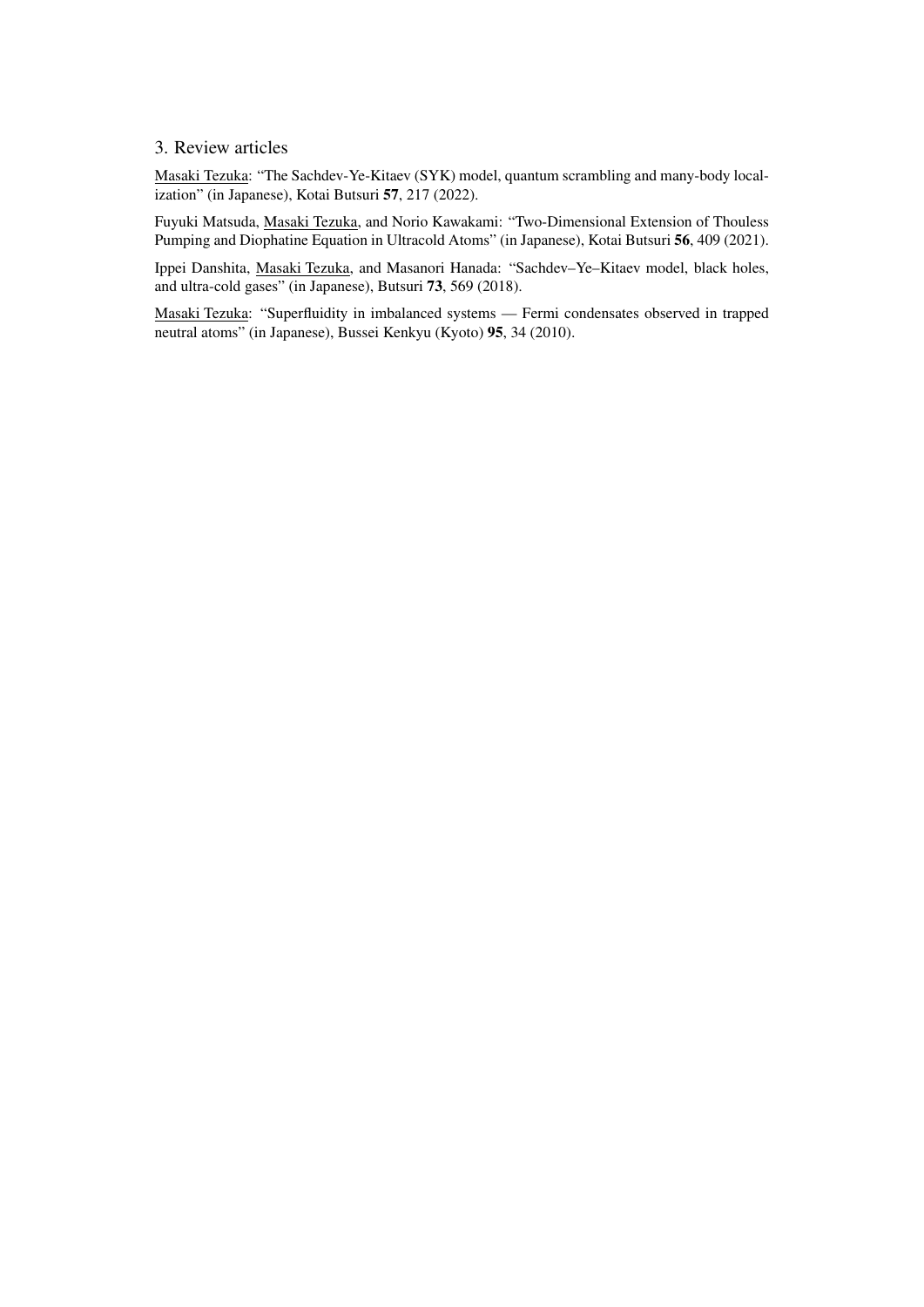### 3. Review articles

Masaki Tezuka: "The Sachdev-Ye-Kitaev (SYK) model, quantum scrambling and many-body localization" (in Japanese), Kotai Butsuri 57, 217 (2022).

Fuyuki Matsuda, Masaki Tezuka, and Norio Kawakami: "Two-Dimensional Extension of Thouless Pumping and Diophatine Equation in Ultracold Atoms" (in Japanese), Kotai Butsuri 56, 409 (2021).

Ippei Danshita, Masaki Tezuka, and Masanori Hanada: "Sachdev–Ye–Kitaev model, black holes, and ultra-cold gases" (in Japanese), Butsuri 73, 569 (2018).

Masaki Tezuka: "Superfluidity in imbalanced systems — Fermi condensates observed in trapped neutral atoms" (in Japanese), Bussei Kenkyu (Kyoto) 95, 34 (2010).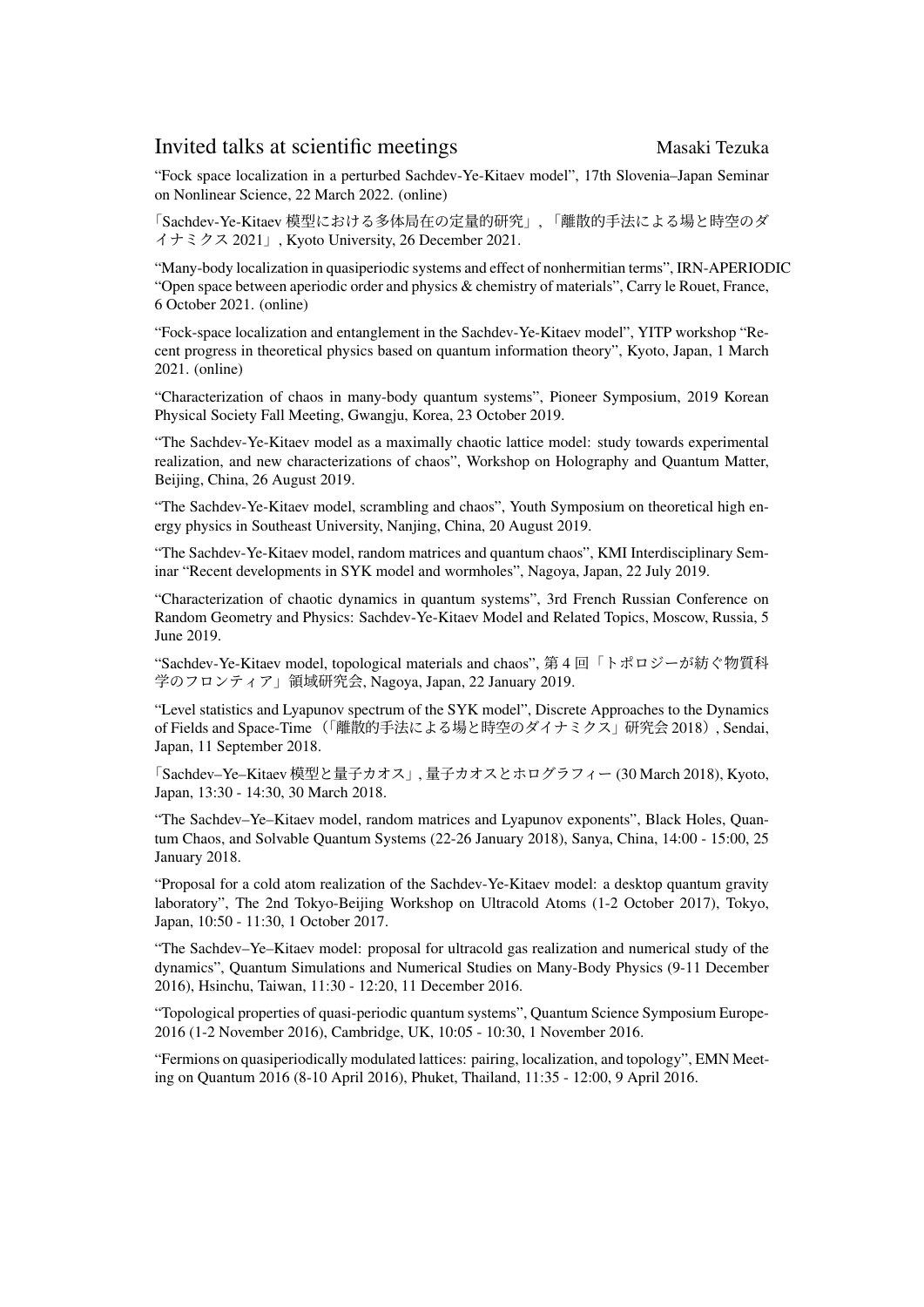# Invited talks at scientific meetings Masaki Tezuka

"Fock space localization in a perturbed Sachdev-Ye-Kitaev model", 17th Slovenia–Japan Seminar on Nonlinear Science, 22 March 2022. (online)

「Sachdev-Ye-Kitaev 模型における多体局在の定量的研究」, 「離散的手法による場と時空のダ イナミクス 2021」, Kyoto University, 26 December 2021.

"Many-body localization in quasiperiodic systems and effect of nonhermitian terms", IRN-APERIODIC "Open space between aperiodic order and physics & chemistry of materials", Carry le Rouet, France, 6 October 2021. (online)

"Fock-space localization and entanglement in the Sachdev-Ye-Kitaev model", YITP workshop "Recent progress in theoretical physics based on quantum information theory", Kyoto, Japan, 1 March 2021. (online)

"Characterization of chaos in many-body quantum systems", Pioneer Symposium, 2019 Korean Physical Society Fall Meeting, Gwangju, Korea, 23 October 2019.

"The Sachdev-Ye-Kitaev model as a maximally chaotic lattice model: study towards experimental realization, and new characterizations of chaos", Workshop on Holography and Quantum Matter, Beijing, China, 26 August 2019.

"The Sachdev-Ye-Kitaev model, scrambling and chaos", Youth Symposium on theoretical high energy physics in Southeast University, Nanjing, China, 20 August 2019.

"The Sachdev-Ye-Kitaev model, random matrices and quantum chaos", KMI Interdisciplinary Seminar "Recent developments in SYK model and wormholes", Nagoya, Japan, 22 July 2019.

"Characterization of chaotic dynamics in quantum systems", 3rd French Russian Conference on Random Geometry and Physics: Sachdev-Ye-Kitaev Model and Related Topics, Moscow, Russia, 5 June 2019.

"Sachdev-Ye-Kitaev model, topological materials and chaos", 第 4 回「トポロジーが紡ぐ物質科 学のフロンティア」領域研究会, Nagoya, Japan, 22 January 2019.

"Level statistics and Lyapunov spectrum of the SYK model", Discrete Approaches to the Dynamics of Fields and Space-Time(「離散的手法による場と時空のダイナミクス」研究会 2018), Sendai, Japan, 11 September 2018.

「Sachdev–Ye–Kitaev 模型と量子カオス」, 量子カオスとホログラフィー (30 March 2018), Kyoto, Japan, 13:30 - 14:30, 30 March 2018.

"The Sachdev–Ye–Kitaev model, random matrices and Lyapunov exponents", Black Holes, Quantum Chaos, and Solvable Quantum Systems (22-26 January 2018), Sanya, China, 14:00 - 15:00, 25 January 2018.

"Proposal for a cold atom realization of the Sachdev-Ye-Kitaev model: a desktop quantum gravity laboratory", The 2nd Tokyo-Beijing Workshop on Ultracold Atoms (1-2 October 2017), Tokyo, Japan, 10:50 - 11:30, 1 October 2017.

"The Sachdev–Ye–Kitaev model: proposal for ultracold gas realization and numerical study of the dynamics", Quantum Simulations and Numerical Studies on Many-Body Physics (9-11 December 2016), Hsinchu, Taiwan, 11:30 - 12:20, 11 December 2016.

"Topological properties of quasi-periodic quantum systems", Quantum Science Symposium Europe-2016 (1-2 November 2016), Cambridge, UK, 10:05 - 10:30, 1 November 2016.

"Fermions on quasiperiodically modulated lattices: pairing, localization, and topology", EMN Meeting on Quantum 2016 (8-10 April 2016), Phuket, Thailand, 11:35 - 12:00, 9 April 2016.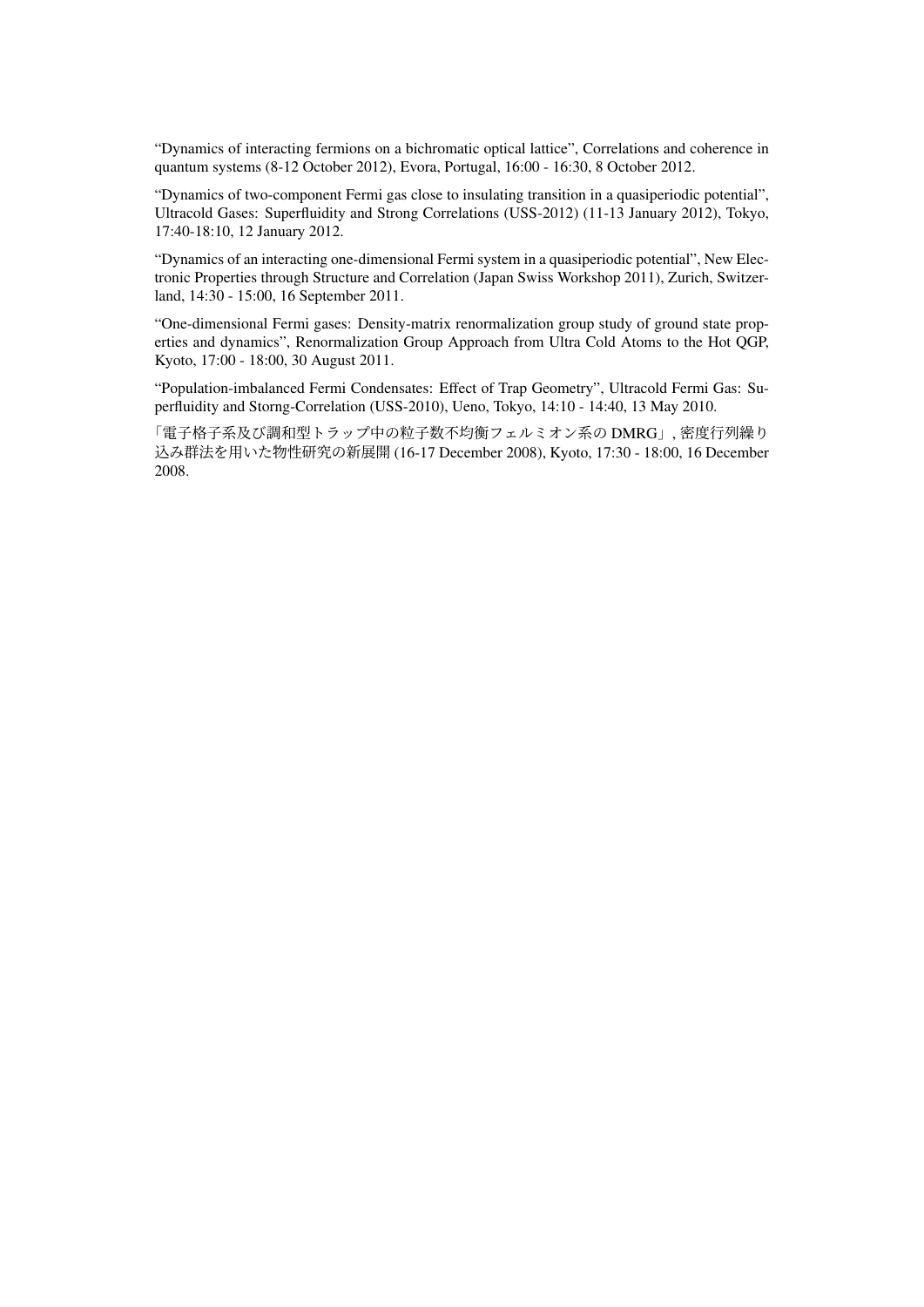"Dynamics of interacting fermions on a bichromatic optical lattice", Correlations and coherence in quantum systems (8-12 October 2012), Evora, Portugal, 16:00 - 16:30, 8 October 2012.

"Dynamics of two-component Fermi gas close to insulating transition in a quasiperiodic potential", Ultracold Gases: Superfluidity and Strong Correlations (USS-2012) (11-13 January 2012), Tokyo, 17:40-18:10, 12 January 2012.

"Dynamics of an interacting one-dimensional Fermi system in a quasiperiodic potential", New Electronic Properties through Structure and Correlation (Japan Swiss Workshop 2011), Zurich, Switzerland, 14:30 - 15:00, 16 September 2011.

"One-dimensional Fermi gases: Density-matrix renormalization group study of ground state properties and dynamics", Renormalization Group Approach from Ultra Cold Atoms to the Hot QGP, Kyoto, 17:00 - 18:00, 30 August 2011.

"Population-imbalanced Fermi Condensates: Effect of Trap Geometry", Ultracold Fermi Gas: Superfluidity and Storng-Correlation (USS-2010), Ueno, Tokyo, 14:10 - 14:40, 13 May 2010.

「電子格子系及び調和型トラップ中の粒子数不均衡フェルミオン系の DMRG」, 密度行列繰り 込み群法を用いた物性研究の新展開 (16-17 December 2008), Kyoto, 17:30 - 18:00, 16 December 2008.